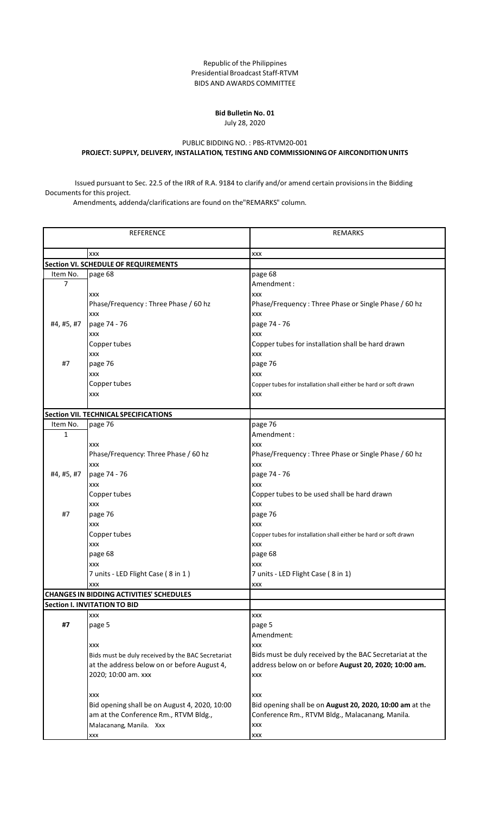Republic of the Philippines Presidential Broadcast Staff-RTVM BIDS AND AWARDS COMMITTEE

## **Bid Bulletin No. 01** July 28, 2020

## PUBLIC BIDDING NO. : PBS-RTVM20-001 **PROJECT: SUPPLY, DELIVERY, INSTALLATION, TESTING AND COMMISSIONINGOF AIRCONDITIONUNITS**

Issued pursuant to Sec. 22.5 of the IRR of R.A. 9184 to clarify and/or amend certain provisionsin the Bidding Documents for this project.<br>Amendments, addenda/clarifications are found on the"REMARKS" column.

| <b>REFERENCE</b> |                                                   | <b>REMARKS</b>                                                   |
|------------------|---------------------------------------------------|------------------------------------------------------------------|
|                  | <b>XXX</b>                                        | XXX                                                              |
|                  | <b>Section VI. SCHEDULE OF REQUIREMENTS</b>       |                                                                  |
| Item No.         | page 68                                           | page 68                                                          |
| $\overline{7}$   |                                                   | Amendment:                                                       |
|                  | XXX                                               | <b>XXX</b>                                                       |
|                  | Phase/Frequency: Three Phase / 60 hz              | Phase/Frequency: Three Phase or Single Phase / 60 hz             |
|                  | <b>XXX</b>                                        | <b>XXX</b>                                                       |
| #4, #5, #7       | page 74 - 76                                      | page 74 - 76                                                     |
|                  | XXX                                               | <b>XXX</b>                                                       |
|                  | Copper tubes                                      | Copper tubes for installation shall be hard drawn                |
|                  | XXX                                               | XXX                                                              |
| #7               | page 76                                           | page 76                                                          |
|                  | <b>XXX</b>                                        | <b>XXX</b>                                                       |
|                  | Copper tubes                                      | Copper tubes for installation shall either be hard or soft drawn |
|                  | XXX                                               | XXX                                                              |
|                  |                                                   |                                                                  |
|                  | Section VII. TECHNICAL SPECIFICATIONS             |                                                                  |
| Item No.         | page 76                                           | page 76                                                          |
| $\mathbf 1$      |                                                   | Amendment:                                                       |
|                  | XXX                                               | <b>XXX</b>                                                       |
|                  | Phase/Frequency: Three Phase / 60 hz              | Phase/Frequency: Three Phase or Single Phase / 60 hz             |
|                  | XXX                                               | <b>XXX</b>                                                       |
| #4, #5, #7       | page 74 - 76                                      | page 74 - 76                                                     |
|                  | XXX                                               | <b>XXX</b>                                                       |
|                  | Copper tubes                                      | Copper tubes to be used shall be hard drawn                      |
|                  | <b>XXX</b>                                        | <b>XXX</b>                                                       |
| #7               | page 76                                           | page 76                                                          |
|                  | <b>XXX</b>                                        | <b>XXX</b>                                                       |
|                  | Copper tubes                                      | Copper tubes for installation shall either be hard or soft drawn |
|                  | <b>XXX</b>                                        | XXX                                                              |
|                  | page 68                                           | page 68                                                          |
|                  | XXX                                               | <b>XXX</b>                                                       |
|                  | 7 units - LED Flight Case (8 in 1)                | 7 units - LED Flight Case (8 in 1)                               |
|                  | <b>XXX</b>                                        | <b>XXX</b>                                                       |
|                  | <b>CHANGES IN BIDDING ACTIVITIES' SCHEDULES</b>   |                                                                  |
|                  | <b>Section I. INVITATION TO BID</b>               |                                                                  |
|                  | XXX                                               | XXX                                                              |
| #7               | page 5                                            | page 5                                                           |
|                  |                                                   | Amendment:                                                       |
|                  | <b>XXX</b>                                        | <b>XXX</b>                                                       |
|                  | Bids must be duly received by the BAC Secretariat | Bids must be duly received by the BAC Secretariat at the         |
|                  | at the address below on or before August 4,       | address below on or before August 20, 2020; 10:00 am.            |
|                  | 2020; 10:00 am. xxx                               |                                                                  |
|                  |                                                   | <b>XXX</b>                                                       |
|                  |                                                   |                                                                  |
|                  | XXX                                               | XXX                                                              |
|                  | Bid opening shall be on August 4, 2020, 10:00     | Bid opening shall be on August 20, 2020, 10:00 am at the         |
|                  | am at the Conference Rm., RTVM Bldg.,             | Conference Rm., RTVM Bldg., Malacanang, Manila.                  |
|                  | Malacanang, Manila. Xxx                           | XXX                                                              |
|                  | XXX                                               | XXX                                                              |